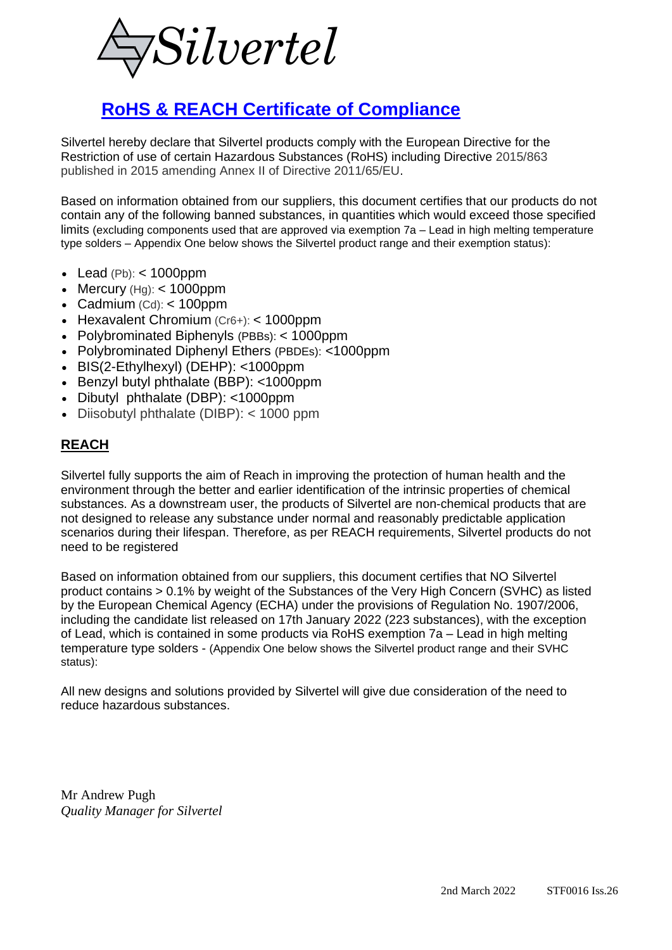

## **RoHS & REACH Certificate of Compliance**

Silvertel hereby declare that Silvertel products comply with the European Directive for the Restriction of use of certain Hazardous Substances (RoHS) including Directive 2015/863 published in 2015 amending Annex II of Directive 2011/65/EU.

Based on information obtained from our suppliers, this document certifies that our products do not contain any of the following banned substances, in quantities which would exceed those specified limits (excluding components used that are approved via exemption 7a – Lead in high melting temperature type solders – Appendix One below shows the Silvertel product range and their exemption status):

- Lead  $(Pb):$  < 1000ppm
- Mercury  $(Hg):$  < 1000ppm
- Cadmium (Cd): < 100ppm
- Hexavalent Chromium (Cr6+): < 1000ppm
- Polybrominated Biphenyls (PBBs): < 1000ppm
- Polybrominated Diphenyl Ethers (PBDEs): <1000ppm
- BIS(2-Ethylhexyl) (DEHP): <1000ppm
- Benzyl butyl phthalate (BBP): <1000ppm
- Dibutyl phthalate (DBP): <1000ppm
- Diisobutyl phthalate (DIBP): < 1000 ppm

## **REACH**

Silvertel fully supports the aim of Reach in improving the protection of human health and the environment through the better and earlier identification of the intrinsic properties of chemical substances. As a downstream user, the products of Silvertel are non-chemical products that are not designed to release any substance under normal and reasonably predictable application scenarios during their lifespan. Therefore, as per REACH requirements, Silvertel products do not need to be registered

Based on information obtained from our suppliers, this document certifies that NO Silvertel product contains > 0.1% by weight of the Substances of the Very High Concern (SVHC) as listed by the European Chemical Agency (ECHA) under the provisions of Regulation No. 1907/2006, including the candidate list released on 17th January 2022 (223 substances), with the exception of Lead, which is contained in some products via RoHS exemption 7a – Lead in high melting temperature type solders - (Appendix One below shows the Silvertel product range and their SVHC status):

All new designs and solutions provided by Silvertel will give due consideration of the need to reduce hazardous substances.

Mr Andrew Pugh *Quality Manager for Silvertel*